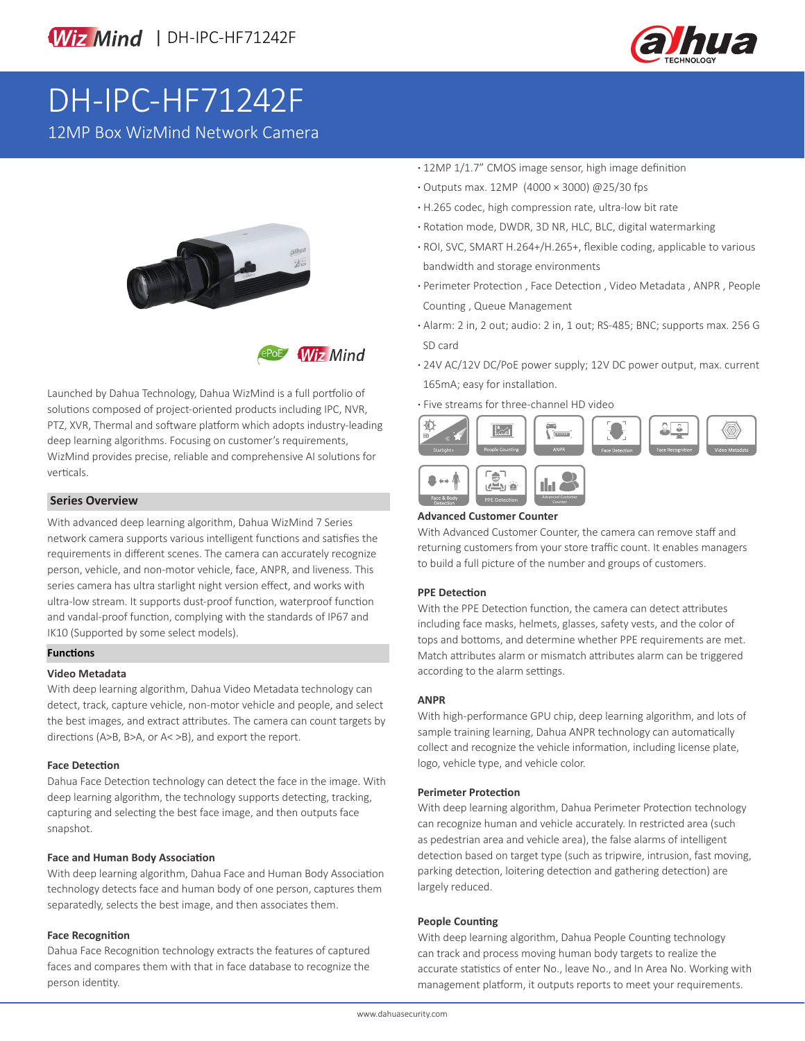



# DH-IPC-HF71242F

12MP Box WizMind Network Camera





Launched by Dahua Technology, Dahua WizMind is a full portfolio of solutions composed of project-oriented products including IPC, NVR, PTZ, XVR, Thermal and software platform which adopts industry-leading deep learning algorithms. Focusing on customer's requirements, WizMind provides precise, reliable and comprehensive AI solutions for verticals.

# **Series Overview**

With advanced deep learning algorithm, Dahua WizMind 7 Series network camera supports various intelligent functions and satisfies the requirements in different scenes. The camera can accurately recognize person, vehicle, and non-motor vehicle, face, ANPR, and liveness. This series camera has ultra starlight night version effect, and works with ultra-low stream. It supports dust-proof function, waterproof function and vandal-proof function, complying with the standards of IP67 and IK10 (Supported by some select models).

### **Functions**

# **Video Metadata**

With deep learning algorithm, Dahua Video Metadata technology can detect, track, capture vehicle, non-motor vehicle and people, and select the best images, and extract attributes. The camera can count targets by directions (A>B, B>A, or A< >B), and export the report.

### **Face Detection**

Dahua Face Detection technology can detect the face in the image. With deep learning algorithm, the technology supports detecting, tracking, capturing and selecting the best face image, and then outputs face snapshot.

### **Face and Human Body Association**

With deep learning algorithm, Dahua Face and Human Body Association technology detects face and human body of one person, captures them separatedly, selects the best image, and then associates them.

### **Face Recognition**

Dahua Face Recognition technology extracts the features of captured faces and compares them with that in face database to recognize the person identity.

- **·** 12MP 1/1.7" CMOS image sensor, high image definition
- **·** Outputs max. 12MP (4000 × 3000) @25/30 fps
- **·** H.265 codec, high compression rate, ultra-low bit rate
- **·** Rotation mode, DWDR, 3D NR, HLC, BLC, digital watermarking
- **·** ROI, SVC, SMART H.264+/H.265+, flexible coding, applicable to various bandwidth and storage environments
- **·** Perimeter Protection , Face Detection , Video Metadata , ANPR , People Counting , Queue Management
- **·** Alarm: 2 in, 2 out; audio: 2 in, 1 out; RS-485; BNC; supports max. 256 G SD card
- **·** 24V AC/12V DC/PoE power supply; 12V DC power output, max. current 165mA; easy for installation.
- **·** Five streams for three-channel HD video

PPE Detection Counter



## **Advanced Customer Counter**

With Advanced Customer Counter, the camera can remove staff and returning customers from your store traffic count. It enables managers to build a full picture of the number and groups of customers.

### **PPE Detection**

With the PPE Detection function, the camera can detect attributes including face masks, helmets, glasses, safety vests, and the color of tops and bottoms, and determine whether PPE requirements are met. Match attributes alarm or mismatch attributes alarm can be triggered according to the alarm settings.

#### **ANPR**

With high-performance GPU chip, deep learning algorithm, and lots of sample training learning, Dahua ANPR technology can automatically collect and recognize the vehicle information, including license plate, logo, vehicle type, and vehicle color.

#### **Perimeter Protection**

With deep learning algorithm, Dahua Perimeter Protection technology can recognize human and vehicle accurately. In restricted area (such as pedestrian area and vehicle area), the false alarms of intelligent detection based on target type (such as tripwire, intrusion, fast moving, parking detection, loitering detection and gathering detection) are largely reduced.

#### **People Counting**

With deep learning algorithm, Dahua People Counting technology can track and process moving human body targets to realize the accurate statistics of enter No., leave No., and In Area No. Working with management platform, it outputs reports to meet your requirements.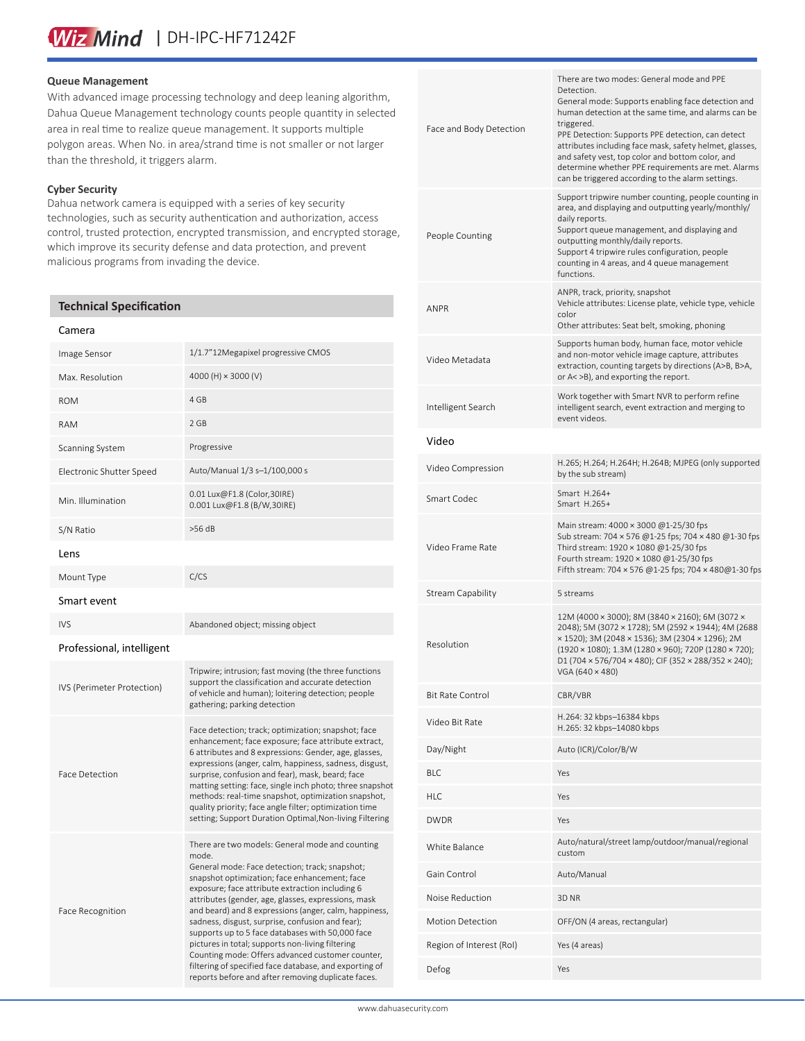# Wiz Mind | DH-IPC-HF71242F

## **Queue Management**

With advanced image processing technology and deep leaning algorithm, Dahua Queue Management technology counts people quantity in selected area in real time to realize queue management. It supports multiple polygon areas. When No. in area/strand time is not smaller or not larger than the threshold, it triggers alarm.

# **Cyber Security**

Dahua network camera is equipped with a series of key security technologies, such as security authentication and authorization, access control, trusted protection, encrypted transmission, and encrypted storage, which improve its security defense and data protection, and prevent malicious programs from invading the device.

# **Technical Specification**

#### Camera

| Image Sensor               | 1/1.7"12Megapixel progressive CMOS                                                                                                                                                                                                                                                                                                                                                                                                                                                                                                                                                                                                                             |
|----------------------------|----------------------------------------------------------------------------------------------------------------------------------------------------------------------------------------------------------------------------------------------------------------------------------------------------------------------------------------------------------------------------------------------------------------------------------------------------------------------------------------------------------------------------------------------------------------------------------------------------------------------------------------------------------------|
| Max. Resolution            | 4000 (H) $\times$ 3000 (V)                                                                                                                                                                                                                                                                                                                                                                                                                                                                                                                                                                                                                                     |
| <b>ROM</b>                 | 4 GB                                                                                                                                                                                                                                                                                                                                                                                                                                                                                                                                                                                                                                                           |
| <b>RAM</b>                 | 2 GB                                                                                                                                                                                                                                                                                                                                                                                                                                                                                                                                                                                                                                                           |
| Scanning System            | Progressive                                                                                                                                                                                                                                                                                                                                                                                                                                                                                                                                                                                                                                                    |
| Electronic Shutter Speed   | Auto/Manual 1/3 s-1/100,000 s                                                                                                                                                                                                                                                                                                                                                                                                                                                                                                                                                                                                                                  |
| Min. Illumination          | 0.01 Lux@F1.8 (Color,30IRE)<br>0.001 Lux@F1.8 (B/W,30IRE)                                                                                                                                                                                                                                                                                                                                                                                                                                                                                                                                                                                                      |
| S/N Ratio                  | $>56$ dB                                                                                                                                                                                                                                                                                                                                                                                                                                                                                                                                                                                                                                                       |
| Lens                       |                                                                                                                                                                                                                                                                                                                                                                                                                                                                                                                                                                                                                                                                |
| Mount Type                 | C/CS                                                                                                                                                                                                                                                                                                                                                                                                                                                                                                                                                                                                                                                           |
| Smart event                |                                                                                                                                                                                                                                                                                                                                                                                                                                                                                                                                                                                                                                                                |
| <b>IVS</b>                 | Abandoned object; missing object                                                                                                                                                                                                                                                                                                                                                                                                                                                                                                                                                                                                                               |
| Professional, intelligent  |                                                                                                                                                                                                                                                                                                                                                                                                                                                                                                                                                                                                                                                                |
| IVS (Perimeter Protection) | Tripwire; intrusion; fast moving (the three functions<br>support the classification and accurate detection<br>of vehicle and human); loitering detection; people<br>gathering; parking detection                                                                                                                                                                                                                                                                                                                                                                                                                                                               |
| Face Detection             | Face detection; track; optimization; snapshot; face<br>enhancement; face exposure; face attribute extract,<br>6 attributes and 8 expressions: Gender, age, glasses,<br>expressions (anger, calm, happiness, sadness, disgust,<br>surprise, confusion and fear), mask, beard; face<br>matting setting: face, single inch photo; three snapshot<br>methods: real-time snapshot, optimization snapshot,<br>quality priority; face angle filter; optimization time<br>setting; Support Duration Optimal, Non-living Filtering                                                                                                                                      |
| Face Recognition           | There are two models: General mode and counting<br>mode.<br>General mode: Face detection; track; snapshot;<br>snapshot optimization; face enhancement; face<br>exposure; face attribute extraction including 6<br>attributes (gender, age, glasses, expressions, mask<br>and beard) and 8 expressions (anger, calm, happiness,<br>sadness, disgust, surprise, confusion and fear);<br>supports up to 5 face databases with 50,000 face<br>pictures in total; supports non-living filtering<br>Counting mode: Offers advanced customer counter,<br>filtering of specified face database, and exporting of<br>reports before and after removing duplicate faces. |

| Face and Body Detection  | There are two modes: General mode and PPE<br>Detection.<br>General mode: Supports enabling face detection and<br>human detection at the same time, and alarms can be<br>triggered.<br>PPE Detection: Supports PPE detection, can detect<br>attributes including face mask, safety helmet, glasses,                                |
|--------------------------|-----------------------------------------------------------------------------------------------------------------------------------------------------------------------------------------------------------------------------------------------------------------------------------------------------------------------------------|
|                          | and safety vest, top color and bottom color, and<br>determine whether PPE requirements are met. Alarms<br>can be triggered according to the alarm settings.                                                                                                                                                                       |
| People Counting          | Support tripwire number counting, people counting in<br>area, and displaying and outputting yearly/monthly/<br>daily reports.<br>Support queue management, and displaying and<br>outputting monthly/daily reports.<br>Support 4 tripwire rules configuration, people<br>counting in 4 areas, and 4 queue management<br>functions. |
| ANPR                     | ANPR, track, priority, snapshot<br>Vehicle attributes: License plate, vehicle type, vehicle<br>color<br>Other attributes: Seat belt, smoking, phoning                                                                                                                                                                             |
| Video Metadata           | Supports human body, human face, motor vehicle<br>and non-motor vehicle image capture, attributes<br>extraction, counting targets by directions (A>B, B>A,<br>or A< >B), and exporting the report.                                                                                                                                |
| Intelligent Search       | Work together with Smart NVR to perform refine<br>intelligent search, event extraction and merging to<br>event videos.                                                                                                                                                                                                            |
| Video                    |                                                                                                                                                                                                                                                                                                                                   |
| Video Compression        | H.265; H.264; H.264H; H.264B; MJPEG (only supported<br>by the sub stream)                                                                                                                                                                                                                                                         |
| Smart Codec              | Smart H.264+<br>Smart H.265+                                                                                                                                                                                                                                                                                                      |
| Video Frame Rate         | Main stream: 4000 × 3000 @1-25/30 fps<br>Sub stream: 704 × 576 @1-25 fps; 704 × 480 @1-30 fps<br>Third stream: 1920 × 1080 @1-25/30 fps<br>Fourth stream: 1920 × 1080 @1-25/30 fps<br>Fifth stream: 704 × 576 @1-25 fps; 704 × 480@1-30 fps                                                                                       |
| Stream Capability        | 5 streams                                                                                                                                                                                                                                                                                                                         |
| Resolution               | 12M (4000 × 3000); 8M (3840 × 2160); 6M (3072 ×<br>2048); 5M (3072 × 1728); 5M (2592 × 1944); 4M (2688<br>× 1520); 3M (2048 × 1536); 3M (2304 × 1296); 2M<br>(1920 × 1080); 1.3M (1280 × 960); 720P (1280 × 720);<br>D1 (704 x 576/704 x 480); CIF (352 x 288/352 x 240);<br>VGA (640 × 480)                                      |
| Bit Rate Control         | CBR/VBR                                                                                                                                                                                                                                                                                                                           |
| Video Bit Rate           | H.264: 32 kbps-16384 kbps<br>H.265: 32 kbps-14080 kbps                                                                                                                                                                                                                                                                            |
| Day/Night                | Auto (ICR)/Color/B/W                                                                                                                                                                                                                                                                                                              |
| BLC                      | Yes                                                                                                                                                                                                                                                                                                                               |
| HLC                      | Yes                                                                                                                                                                                                                                                                                                                               |
| DWDR                     | Yes                                                                                                                                                                                                                                                                                                                               |
| White Balance            | Auto/natural/street lamp/outdoor/manual/regional<br>custom                                                                                                                                                                                                                                                                        |
| Gain Control             | Auto/Manual                                                                                                                                                                                                                                                                                                                       |
| Noise Reduction          | 3D <sub>NR</sub>                                                                                                                                                                                                                                                                                                                  |
| <b>Motion Detection</b>  | OFF/ON (4 areas, rectangular)                                                                                                                                                                                                                                                                                                     |
| Region of Interest (RoI) | Yes (4 areas)                                                                                                                                                                                                                                                                                                                     |
| Defog                    | Yes                                                                                                                                                                                                                                                                                                                               |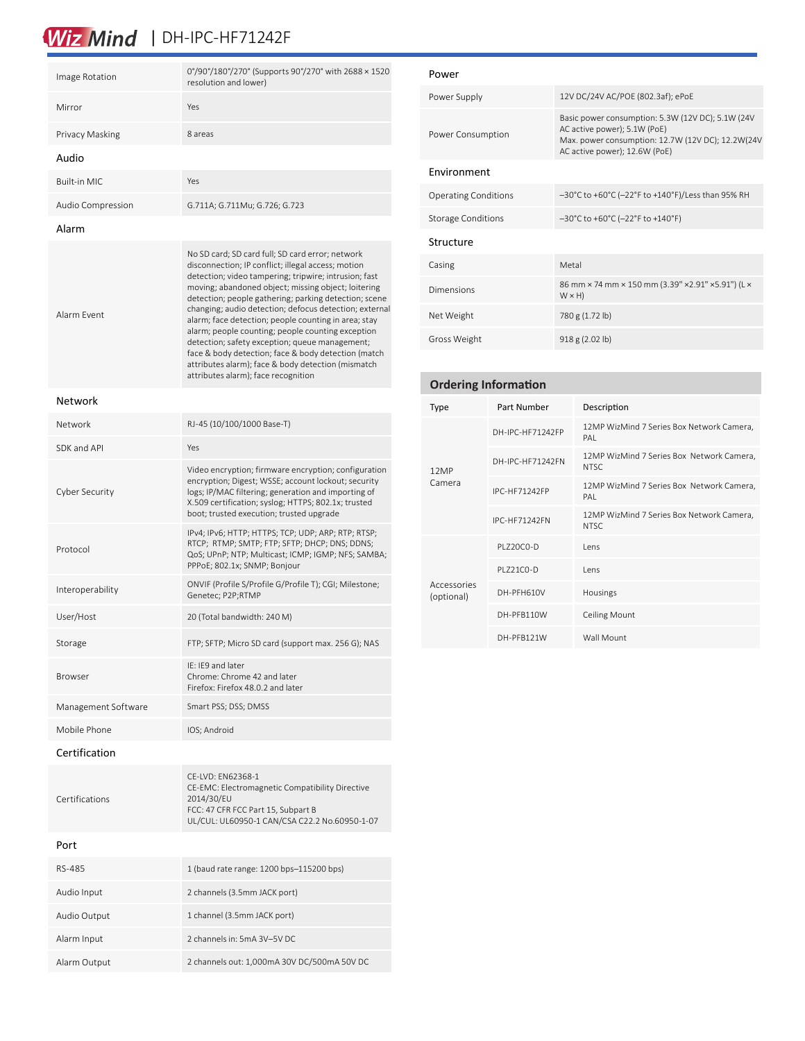# Wiz Mind | DH-IPC-HF71242F

| Image Rotation      | 0°/90°/180°/270° (Supports 90°/270° with 2688 × 1520<br>resolution and lower) |
|---------------------|-------------------------------------------------------------------------------|
| Mirror              | Yes                                                                           |
| Privacy Masking     | 8 areas                                                                       |
| Audio               |                                                                               |
| <b>Built-in MIC</b> | Yes                                                                           |
| Audio Compression   | G.711A; G.711Mu; G.726; G.723                                                 |
|                     |                                                                               |

### Alarm

## Network

| Network             | RJ-45 (10/100/1000 Base-T)                                                                                                                                                                                                                                            |
|---------------------|-----------------------------------------------------------------------------------------------------------------------------------------------------------------------------------------------------------------------------------------------------------------------|
| SDK and API         | Yes                                                                                                                                                                                                                                                                   |
| Cyber Security      | Video encryption; firmware encryption; configuration<br>encryption; Digest; WSSE; account lockout; security<br>logs; IP/MAC filtering; generation and importing of<br>X.509 certification; syslog; HTTPS; 802.1x; trusted<br>boot; trusted execution; trusted upgrade |
| Protocol            | IPv4; IPv6; HTTP; HTTPS; TCP; UDP; ARP; RTP; RTSP;<br>RTCP; RTMP; SMTP; FTP; SFTP; DHCP; DNS; DDNS;<br>QoS; UPnP; NTP; Multicast; ICMP; IGMP; NFS; SAMBA;<br>PPPoE; 802.1x; SNMP; Bonjour                                                                             |
| Interoperability    | ONVIF (Profile S/Profile G/Profile T); CGI; Milestone;<br>Genetec; P2P;RTMP                                                                                                                                                                                           |
| User/Host           | 20 (Total bandwidth: 240 M)                                                                                                                                                                                                                                           |
| Storage             | FTP; SFTP; Micro SD card (support max. 256 G); NAS                                                                                                                                                                                                                    |
| <b>Browser</b>      | IF: IF9 and later<br>Chrome: Chrome 42 and later<br>Firefox: Firefox 48.0.2 and later                                                                                                                                                                                 |
| Management Software | Smart PSS; DSS; DMSS                                                                                                                                                                                                                                                  |
| Mobile Phone        | IOS; Android                                                                                                                                                                                                                                                          |
| Certification       |                                                                                                                                                                                                                                                                       |
| Certifications      | CE-LVD: EN62368-1<br>CE-EMC: Electromagnetic Compatibility Directive<br>2014/30/EU                                                                                                                                                                                    |

# Power

| Power Supply                | 12V DC/24V AC/POE (802.3af); ePoE                                                                                                                                        |
|-----------------------------|--------------------------------------------------------------------------------------------------------------------------------------------------------------------------|
| Power Consumption           | Basic power consumption: 5.3W (12V DC); 5.1W (24V)<br>AC active power); 5.1W (PoE)<br>Max. power consumption: 12.7W (12V DC); 12.2W(24V<br>AC active power); 12.6W (PoE) |
| Environment                 |                                                                                                                                                                          |
| <b>Operating Conditions</b> | $-30^{\circ}$ C to +60 $^{\circ}$ C (-22 $^{\circ}$ F to +140 $^{\circ}$ F)/Less than 95% RH                                                                             |
| <b>Storage Conditions</b>   | $-30^{\circ}$ C to +60 $^{\circ}$ C (-22 $^{\circ}$ F to +140 $^{\circ}$ F)                                                                                              |
| Structure                   |                                                                                                                                                                          |
| Casing                      | Metal                                                                                                                                                                    |
| Dimensions                  | 86 mm × 74 mm × 150 mm (3.39" × 2.91" × 5.91") (L ×<br>$W \times H$                                                                                                      |
| Net Weight                  | 780 g (1.72 lb)                                                                                                                                                          |
| Gross Weight                | 918 g (2.02 lb)                                                                                                                                                          |

| <b>Ordering Information</b> |                      |                                                    |
|-----------------------------|----------------------|----------------------------------------------------|
| Type                        | Part Number          | Description                                        |
| 12MP<br>Camera              | DH-IPC-HF71242FP     | 12MP WizMind 7 Series Box Network Camera,<br>PAI   |
|                             | DH-IPC-HF71242FN     | 12MP WizMind 7 Series Box Network Camera,<br>NTSC. |
|                             | <b>IPC-HF71242FP</b> | 12MP WizMind 7 Series Box Network Camera,<br>PAI   |
|                             | <b>IPC-HF71242FN</b> | 12MP WizMind 7 Series Box Network Camera,<br>NTSC. |
| Accessories<br>(optional)   | PI 720C0-D           | <b>Lens</b>                                        |
|                             | PI 721C0-D           | lens                                               |
|                             | DH-PFH610V           | Housings                                           |
|                             | DH-PFB110W           | <b>Ceiling Mount</b>                               |
|                             | DH-PFB121W           | Wall Mount                                         |

# Port

| RS-485       | 1 (baud rate range: 1200 bps-115200 bps)    |
|--------------|---------------------------------------------|
| Audio Input  | 2 channels (3.5mm JACK port)                |
| Audio Output | 1 channel (3.5mm JACK port)                 |
| Alarm Input  | 2 channels in: 5mA 3V-5V DC                 |
| Alarm Output | 2 channels out: 1,000mA 30V DC/500mA 50V DC |

FCC: 47 CFR FCC Part 15, Subpart B

UL/CUL: UL60950-1 CAN/CSA C22.2 No.60950-1-07